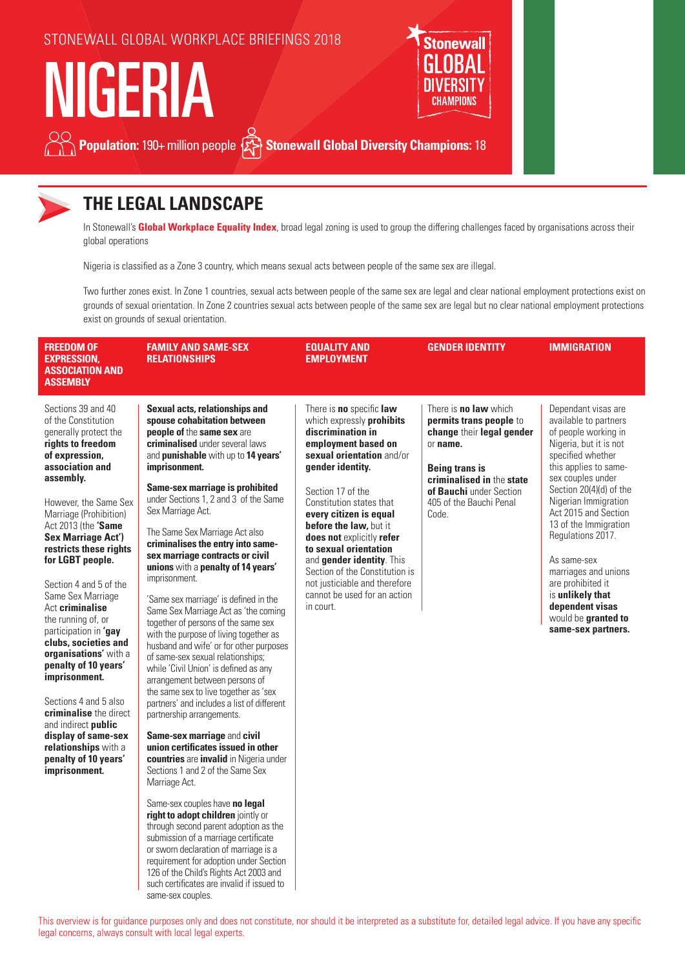



### **THE LEGAL LANDSCAPE**

In Stonewall's **Global Workplace Equality Index**, broad legal zoning is used to group the differing challenges faced by organisations across their global operations

Nigeria is classified as a Zone 3 country, which means sexual acts between people of the same sex are illegal.

Two further zones exist. In Zone 1 countries, sexual acts between people of the same sex are legal and clear national employment protections exist on grounds of sexual orientation. In Zone 2 countries sexual acts between people of the same sex are legal but no clear national employment protections exist on grounds of sexual orientation.

| <b>FREEDOM OF</b><br><b>EXPRESSION.</b><br><b>ASSOCIATION AND</b><br><b>ASSEMBLY</b>                                                                                                                                                                                                                                                                                                                                                                                                                                                                                                                                                                                               | <b>FAMILY AND SAME-SEX</b><br><b>RELATIONSHIPS</b>                                                                                                                                                                                                                                                                                                                                                                                                                                                                                                                                                                                                                                                                                                                                                                                                                                                                                                                                                                                                                                                                                                    | <b>EQUALITY AND</b><br><b>EMPLOYMENT</b>                                                                                                                                                                                                                                                                                                                                                                                                                   | <b>GENDER IDENTITY</b>                                                                                                                                                                                                | <b>IMMIGRATION</b>                                                                                                                                                                                                                                                                                                                                                                                                                         |
|------------------------------------------------------------------------------------------------------------------------------------------------------------------------------------------------------------------------------------------------------------------------------------------------------------------------------------------------------------------------------------------------------------------------------------------------------------------------------------------------------------------------------------------------------------------------------------------------------------------------------------------------------------------------------------|-------------------------------------------------------------------------------------------------------------------------------------------------------------------------------------------------------------------------------------------------------------------------------------------------------------------------------------------------------------------------------------------------------------------------------------------------------------------------------------------------------------------------------------------------------------------------------------------------------------------------------------------------------------------------------------------------------------------------------------------------------------------------------------------------------------------------------------------------------------------------------------------------------------------------------------------------------------------------------------------------------------------------------------------------------------------------------------------------------------------------------------------------------|------------------------------------------------------------------------------------------------------------------------------------------------------------------------------------------------------------------------------------------------------------------------------------------------------------------------------------------------------------------------------------------------------------------------------------------------------------|-----------------------------------------------------------------------------------------------------------------------------------------------------------------------------------------------------------------------|--------------------------------------------------------------------------------------------------------------------------------------------------------------------------------------------------------------------------------------------------------------------------------------------------------------------------------------------------------------------------------------------------------------------------------------------|
| Sections 39 and 40<br>of the Constitution<br>generally protect the<br>rights to freedom<br>of expression,<br>association and<br>assembly.<br>However, the Same Sex<br>Marriage (Prohibition)<br>Act 2013 (the 'Same<br><b>Sex Marriage Act')</b><br>restricts these rights<br>for LGBT people.<br>Section 4 and 5 of the<br>Same Sex Marriage<br>Act criminalise<br>the running of, or<br>participation in 'gay<br>clubs, societies and<br>organisations' with a<br>penalty of 10 years'<br>imprisonment.<br>Sections 4 and 5 also<br>criminalise the direct<br>and indirect <b>public</b><br>display of same-sex<br>relationships with a<br>penalty of 10 years'<br>imprisonment. | Sexual acts, relationships and<br>spouse cohabitation between<br>people of the same sex are<br>criminalised under several laws<br>and punishable with up to 14 years'<br>imprisonment.<br>Same-sex marriage is prohibited<br>under Sections 1, 2 and 3 of the Same<br>Sex Marriage Act.<br>The Same Sex Marriage Act also<br>criminalises the entry into same-<br>sex marriage contracts or civil<br>unions with a penalty of 14 years'<br>imprisonment.<br>'Same sex marriage' is defined in the<br>Same Sex Marriage Act as 'the coming<br>together of persons of the same sex<br>with the purpose of living together as<br>husband and wife' or for other purposes<br>of same-sex sexual relationships;<br>while 'Civil Union' is defined as any<br>arrangement between persons of<br>the same sex to live together as 'sex<br>partners' and includes a list of different<br>partnership arrangements.<br>Same-sex marriage and civil<br>union certificates issued in other<br>countries are invalid in Nigeria under<br>Sections 1 and 2 of the Same Sex<br>Marriage Act.<br>Same-sex couples have no legal<br>right to adopt children jointly or | There is no specific law<br>which expressly prohibits<br>discrimination in<br>employment based on<br>sexual orientation and/or<br>gender identity.<br>Section 17 of the<br>Constitution states that<br>every citizen is equal<br>before the law, but it<br>does not explicitly refer<br>to sexual orientation<br>and gender identity. This<br>Section of the Constitution is<br>not justiciable and therefore<br>cannot be used for an action<br>in court. | There is <b>no law</b> which<br>permits trans people to<br>change their legal gender<br>or name.<br><b>Being trans is</b><br>criminalised in the state<br>of Bauchi under Section<br>405 of the Bauchi Penal<br>Code. | Dependant visas are<br>available to partners<br>of people working in<br>Nigeria, but it is not<br>specified whether<br>this applies to same-<br>sex couples under<br>Section 20(4)(d) of the<br>Nigerian Immigration<br>Act 2015 and Section<br>13 of the Immigration<br>Regulations 2017.<br>As same-sex<br>marriages and unions<br>are prohibited it<br>is unlikely that<br>dependent visas<br>would be granted to<br>same-sex partners. |

through second parent adoption as the submission of a marriage certificate or sworn declaration of marriage is a requirement for adoption under Section 126 of the Child's Rights Act 2003 and such certificates are invalid if issued to

same-sex couples.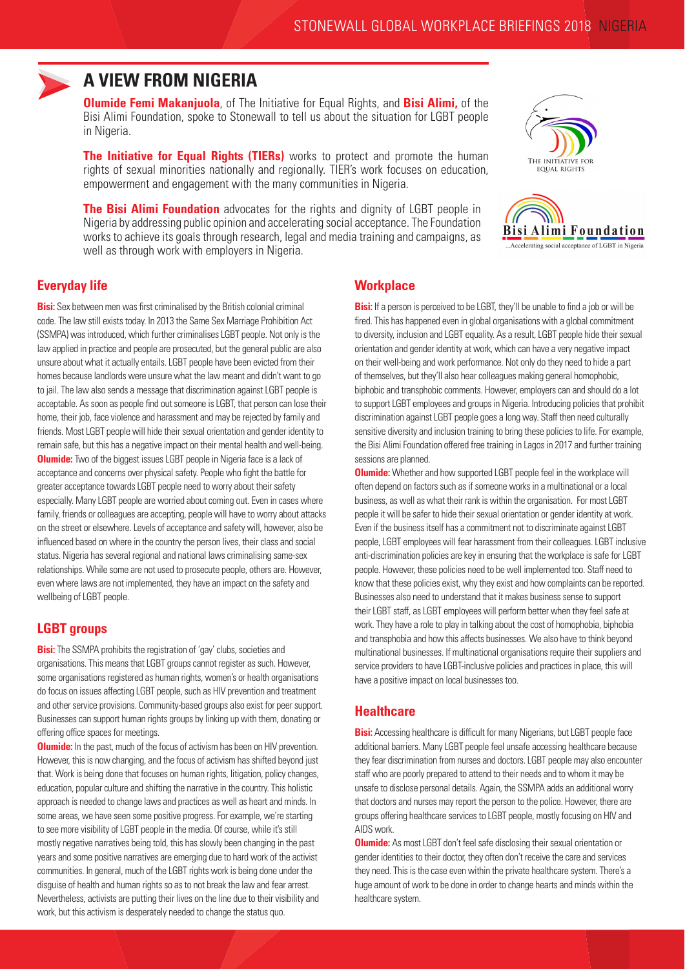

### **A VIEW FROM NIGERIA**

**Olumide Femi Makanjuola**, of The Initiative for Equal Rights, and **Bisi Alimi,** of the Bisi Alimi Foundation, spoke to Stonewall to tell us about the situation for LGBT people in Nigeria.

**The Initiative for Equal Rights (TIERs)** works to protect and promote the human rights of sexual minorities nationally and regionally. TIER's work focuses on education, empowerment and engagement with the many communities in Nigeria.

**The Bisi Alimi Foundation** advocates for the rights and dignity of LGBT people in Nigeria by addressing public opinion and accelerating social acceptance. The Foundation works to achieve its goals through research, legal and media training and campaigns, as well as through work with employers in Nigeria.





#### **Everyday life**

**Bisi:** Sex between men was first criminalised by the British colonial criminal code. The law still exists today. In 2013 the Same Sex Marriage Prohibition Act (SSMPA) was introduced, which further criminalises LGBT people. Not only is the law applied in practice and people are prosecuted, but the general public are also unsure about what it actually entails. LGBT people have been evicted from their homes because landlords were unsure what the law meant and didn't want to go to jail. The law also sends a message that discrimination against LGBT people is acceptable. As soon as people find out someone is LGBT, that person can lose their home, their job, face violence and harassment and may be rejected by family and friends. Most LGBT people will hide their sexual orientation and gender identity to remain safe, but this has a negative impact on their mental health and well-being. **Olumide:** Two of the biggest issues LGBT people in Nigeria face is a lack of acceptance and concerns over physical safety. People who fight the battle for greater acceptance towards LGBT people need to worry about their safety especially. Many LGBT people are worried about coming out. Even in cases where family, friends or colleagues are accepting, people will have to worry about attacks on the street or elsewhere. Levels of acceptance and safety will, however, also be influenced based on where in the country the person lives, their class and social status. Nigeria has several regional and national laws criminalising same-sex relationships. While some are not used to prosecute people, others are. However, even where laws are not implemented, they have an impact on the safety and wellbeing of LGBT people.

#### **LGBT groups**

**Bisi:** The SSMPA prohibits the registration of 'gay' clubs, societies and organisations. This means that LGBT groups cannot register as such. However, some organisations registered as human rights, women's or health organisations do focus on issues affecting LGBT people, such as HIV prevention and treatment and other service provisions. Community-based groups also exist for peer support. Businesses can support human rights groups by linking up with them, donating or offering office spaces for meetings.

**Olumide:** In the past, much of the focus of activism has been on HIV prevention. However, this is now changing, and the focus of activism has shifted beyond just that. Work is being done that focuses on human rights, litigation, policy changes, education, popular culture and shifting the narrative in the country. This holistic approach is needed to change laws and practices as well as heart and minds. In some areas, we have seen some positive progress. For example, we're starting to see more visibility of LGBT people in the media. Of course, while it's still mostly negative narratives being told, this has slowly been changing in the past years and some positive narratives are emerging due to hard work of the activist communities. In general, much of the LGBT rights work is being done under the disguise of health and human rights so as to not break the law and fear arrest. Nevertheless, activists are putting their lives on the line due to their visibility and work, but this activism is desperately needed to change the status quo.

#### **Workplace**

**Bisi:** If a person is perceived to be LGBT, they'll be unable to find a job or will be fired. This has happened even in global organisations with a global commitment to diversity, inclusion and LGBT equality. As a result, LGBT people hide their sexual orientation and gender identity at work, which can have a very negative impact on their well-being and work performance. Not only do they need to hide a part of themselves, but they'll also hear colleagues making general homophobic, biphobic and transphobic comments. However, employers can and should do a lot to support LGBT employees and groups in Nigeria. Introducing policies that prohibit discrimination against LGBT people goes a long way. Staff then need culturally sensitive diversity and inclusion training to bring these policies to life. For example, the Bisi Alimi Foundation offered free training in Lagos in 2017 and further training sessions are planned.

**Olumide:** Whether and how supported LGBT people feel in the workplace will often depend on factors such as if someone works in a multinational or a local business, as well as what their rank is within the organisation. For most LGBT people it will be safer to hide their sexual orientation or gender identity at work. Even if the business itself has a commitment not to discriminate against LGBT people, LGBT employees will fear harassment from their colleagues. LGBT inclusive anti-discrimination policies are key in ensuring that the workplace is safe for LGBT people. However, these policies need to be well implemented too. Staff need to know that these policies exist, why they exist and how complaints can be reported. Businesses also need to understand that it makes business sense to support their LGBT staff, as LGBT employees will perform better when they feel safe at work. They have a role to play in talking about the cost of homophobia, biphobia and transphobia and how this affects businesses. We also have to think beyond multinational businesses. If multinational organisations require their suppliers and service providers to have LGBT-inclusive policies and practices in place, this will have a positive impact on local businesses too.

#### **Healthcare**

**Bisi:** Accessing healthcare is difficult for many Nigerians, but LGBT people face additional barriers. Many LGBT people feel unsafe accessing healthcare because they fear discrimination from nurses and doctors. LGBT people may also encounter staff who are poorly prepared to attend to their needs and to whom it may be unsafe to disclose personal details. Again, the SSMPA adds an additional worry that doctors and nurses may report the person to the police. However, there are groups offering healthcare services to LGBT people, mostly focusing on HIV and AIDS work.

**Olumide:** As most LGBT don't feel safe disclosing their sexual orientation or gender identities to their doctor, they often don't receive the care and services they need. This is the case even within the private healthcare system. There's a huge amount of work to be done in order to change hearts and minds within the healthcare system.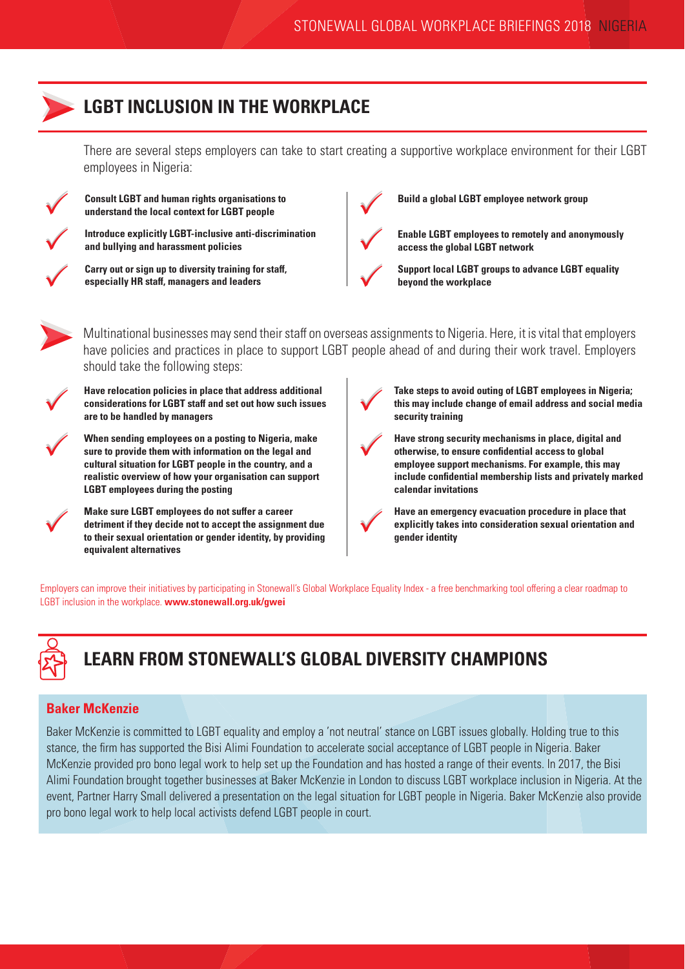## **LGBT INCLUSION IN THE WORKPLACE**

There are several steps employers can take to start creating a supportive workplace environment for their LGBT employees in Nigeria:



**Consult LGBT and human rights organisations to understand the local context for LGBT people**

**Introduce explicitly LGBT-inclusive anti-discrimination and bullying and harassment policies**



PP

PP

**Carry out or sign up to diversity training for staff, especially HR staff, managers and leaders** 



**Build a global LGBT employee network group**

**Enable LGBT employees to remotely and anonymously access the global LGBT network**



**Support local LGBT groups to advance LGBT equality beyond the workplace**

Multinational businesses may send their staff on overseas assignments to Nigeria. Here, it is vital that employers have policies and practices in place to support LGBT people ahead of and during their work travel. Employers should take the following steps:

 $\bigvee$ 

 $\bigvee$ 

**Have relocation policies in place that address additional considerations for LGBT staff and set out how such issues are to be handled by managers**

**When sending employees on a posting to Nigeria, make sure to provide them with information on the legal and cultural situation for LGBT people in the country, and a realistic overview of how your organisation can support LGBT employees during the posting**



**Take steps to avoid outing of LGBT employees in Nigeria; this may include change of email address and social media security training**

**Have strong security mechanisms in place, digital and otherwise, to ensure confidential access to global employee support mechanisms. For example, this may include confidential membership lists and privately marked calendar invitations**

 $\bigvee$ **Have an emergency evacuation procedure in place that explicitly takes into consideration sexual orientation and gender identity**

Employers can improve their initiatives by participating in Stonewall's Global Workplace Equality Index - a free benchmarking tool offering a clear roadmap to LGBT inclusion in the workplace. **www.stonewall.org.uk/gwei**



# **LEARN FROM STONEWALL'S GLOBAL DIVERSITY CHAMPIONS**

#### **Baker McKenzie**

Baker McKenzie is committed to LGBT equality and employ a 'not neutral' stance on LGBT issues globally. Holding true to this stance, the firm has supported the Bisi Alimi Foundation to accelerate social acceptance of LGBT people in Nigeria. Baker McKenzie provided pro bono legal work to help set up the Foundation and has hosted a range of their events. In 2017, the Bisi Alimi Foundation brought together businesses at Baker McKenzie in London to discuss LGBT workplace inclusion in Nigeria. At the event, Partner Harry Small delivered a presentation on the legal situation for LGBT people in Nigeria. Baker McKenzie also provide pro bono legal work to help local activists defend LGBT people in court.